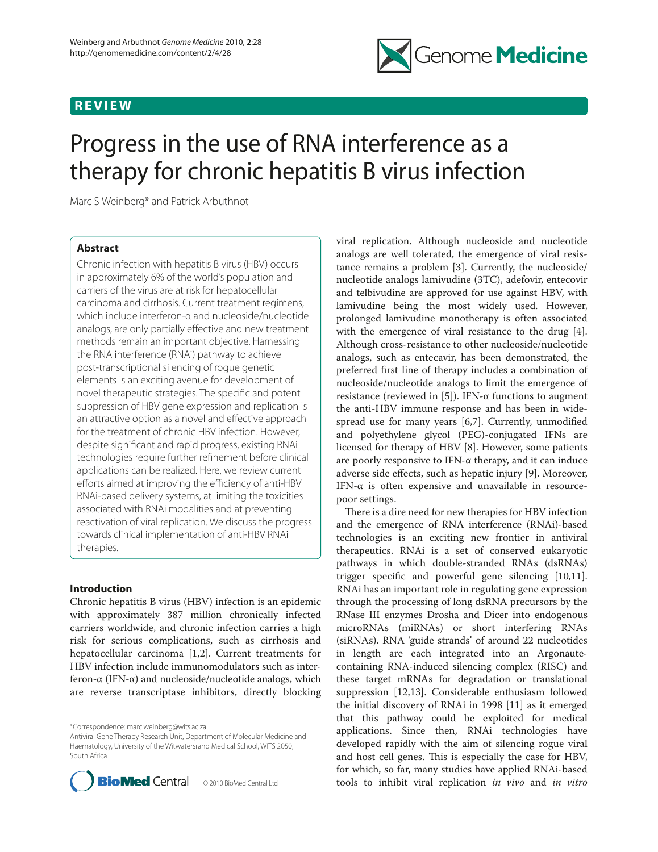## **REVIEW**



# Progress in the use of RNA interference as a therapy for chronic hepatitis B virus infection

Marc S Weinberg\* and Patrick Arbuthnot

## **Abstract**

Chronic infection with hepatitis B virus (HBV) occurs in approximately 6% of the world's population and carriers of the virus are at risk for hepatocellular carcinoma and cirrhosis. Current treatment regimens, which include interferon-α and nucleoside/nucleotide analogs, are only partially effective and new treatment methods remain an important objective. Harnessing the RNA interference (RNAi) pathway to achieve post-transcriptional silencing of rogue genetic elements is an exciting avenue for development of novel therapeutic strategies. The specific and potent suppression of HBV gene expression and replication is an attractive option as a novel and effective approach for the treatment of chronic HBV infection. However, despite significant and rapid progress, existing RNAi technologies require further refinement before clinical applications can be realized. Here, we review current efforts aimed at improving the efficiency of anti-HBV RNAi-based delivery systems, at limiting the toxicities associated with RNAi modalities and at preventing reactivation of viral replication. We discuss the progress towards clinical implementation of anti-HBV RNAi therapies.

## **Introduction**

Chronic hepatitis B virus (HBV) infection is an epidemic with approximately 387 million chronically infected carriers worldwide, and chronic infection carries a high risk for serious complications, such as cirrhosis and hepatocellular carcinoma [1,2]. Current treatments for HBV infection include immunomodulators such as interferon-α (IFN-α) and nucleoside/nucleotide analogs, which are reverse transcriptase inhibitors, directly blocking

\*Correspondence: marc.weinberg@wits.ac.za

Antiviral Gene Therapy Research Unit, Department of Molecular Medicine and Haematology, University of the Witwatersrand Medical School, WITS 2050, South Africa



viral replication. Although nucleoside and nucleotide analogs are well tolerated, the emergence of viral resistance remains a problem [3]. Currently, the nucleoside/ nucleotide analogs lamivudine (3TC), adefovir, entecovir and telbivudine are approved for use against HBV, with lamivudine being the most widely used. However, prolonged lamivudine monotherapy is often associated with the emergence of viral resistance to the drug [4]. Although cross-resistance to other nucleoside/nucleotide analogs, such as entecavir, has been demonstrated, the preferred first line of therapy includes a combination of nucleoside/nucleotide analogs to limit the emergence of resistance (reviewed in [5]). IFN- $\alpha$  functions to augment the anti-HBV immune response and has been in widespread use for many years [6,7]. Currently, unmodified and polyethylene glycol (PEG)-conjugated IFNs are licensed for therapy of HBV [8]. However, some patients are poorly responsive to IFN-α therapy, and it can induce adverse side effects, such as hepatic injury [9]. Moreover, IFN-α is often expensive and unavailable in resourcepoor settings.

There is a dire need for new therapies for HBV infection and the emergence of RNA interference (RNAi)-based technologies is an exciting new frontier in antiviral therapeutics. RNAi is a set of conserved eukaryotic pathways in which double-stranded RNAs (dsRNAs) trigger specific and powerful gene silencing [10,11]. RNAi has an important role in regulating gene expression through the processing of long dsRNA precursors by the RNase III enzymes Drosha and Dicer into endogenous microRNAs (miRNAs) or short interfering RNAs (siRNAs). RNA 'guide strands' of around 22 nucleotides in length are each integrated into an Argonautecontaining RNA-induced silencing complex (RISC) and these target mRNAs for degradation or translational suppression [12,13]. Considerable enthusiasm followed the initial discovery of RNAi in 1998 [11] as it emerged that this pathway could be exploited for medical applications. Since then, RNAi technologies have developed rapidly with the aim of silencing rogue viral and host cell genes. This is especially the case for HBV, for which, so far, many studies have applied RNAi-based tools to inhibit viral replication *in vivo* and *in vitro*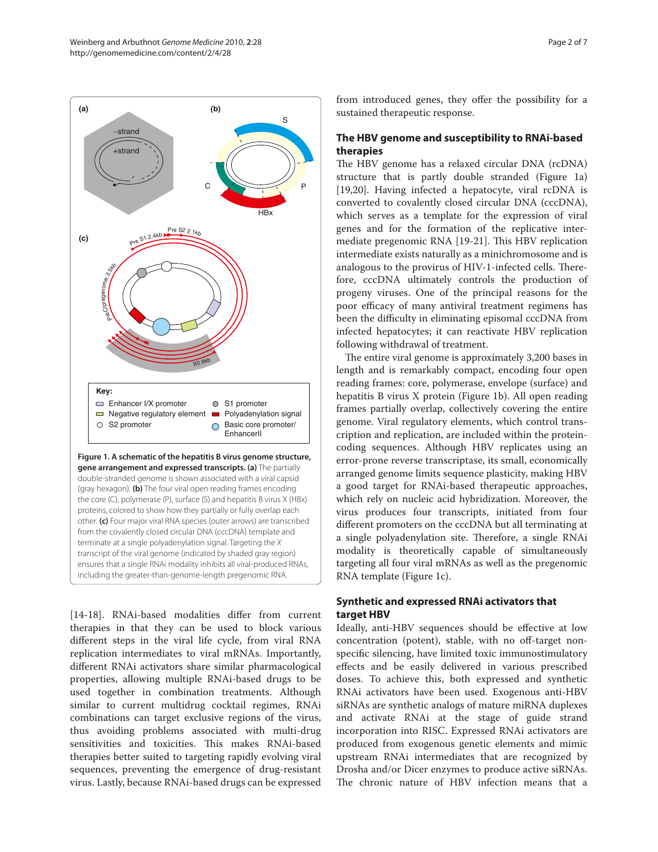Page 2 of 7



[14-18]. RNAi-based modalities differ from current therapies in that they can be used to block various different steps in the viral life cycle, from viral RNA replication intermediates to viral mRNAs. Importantly, different RNAi activators share similar pharmacological properties, allowing multiple RNAi-based drugs to be used together in combination treatments. Although similar to current multidrug cocktail regimes, RNAi combinations can target exclusive regions of the virus, thus avoiding problems associated with multi-drug sensitivities and toxicities. This makes RNAi-based therapies better suited to targeting rapidly evolving viral sequences, preventing the emergence of drug-resistant virus. Lastly, because RNAi-based drugs can be expressed

including the greater-than-genome-length pregenomic RNA.

from introduced genes, they offer the possibility for a sustained therapeutic response.

## **The HBV genome and susceptibility to RNAi-based therapies**

The HBV genome has a relaxed circular DNA (rcDNA) structure that is partly double stranded (Figure 1a) [19,20]. Having infected a hepatocyte, viral rcDNA is converted to covalently closed circular DNA (cccDNA), which serves as a template for the expression of viral genes and for the formation of the replicative intermediate pregenomic RNA [19-21]. This HBV replication intermediate exists naturally as a minichromosome and is analogous to the provirus of HIV-1-infected cells. Therefore, cccDNA ultimately controls the production of progeny viruses. One of the principal reasons for the poor efficacy of many antiviral treatment regimens has been the difficulty in eliminating episomal cccDNA from infected hepatocytes; it can reactivate HBV replication following withdrawal of treatment.

The entire viral genome is approximately 3,200 bases in length and is remarkably compact, encoding four open reading frames: core, polymerase, envelope (surface) and hepatitis B virus X protein (Figure 1b). All open reading frames partially overlap, collectively covering the entire genome. Viral regulatory elements, which control transcription and replication, are included within the proteincoding sequences. Although HBV replicates using an error-prone reverse transcriptase, its small, economically arranged genome limits sequence plasticity, making HBV a good target for RNAi-based therapeutic approaches, which rely on nucleic acid hybridization. Moreover, the virus produces four transcripts, initiated from four different promoters on the cccDNA but all terminating at a single polyadenylation site. Therefore, a single RNAi modality is theoretically capable of simultaneously targeting all four viral mRNAs as well as the pregenomic RNA template (Figure 1c).

## **Synthetic and expressed RNAi activators that target HBV**

Ideally, anti-HBV sequences should be effective at low concentration (potent), stable, with no off-target nonspecific silencing, have limited toxic immunostimulatory effects and be easily delivered in various prescribed doses. To achieve this, both expressed and synthetic RNAi activators have been used. Exogenous anti-HBV siRNAs are synthetic analogs of mature miRNA duplexes and activate RNAi at the stage of guide strand incorporation into RISC. Expressed RNAi activators are produced from exogenous genetic elements and mimic upstream RNAi intermediates that are recognized by Drosha and/or Dicer enzymes to produce active siRNAs. The chronic nature of HBV infection means that a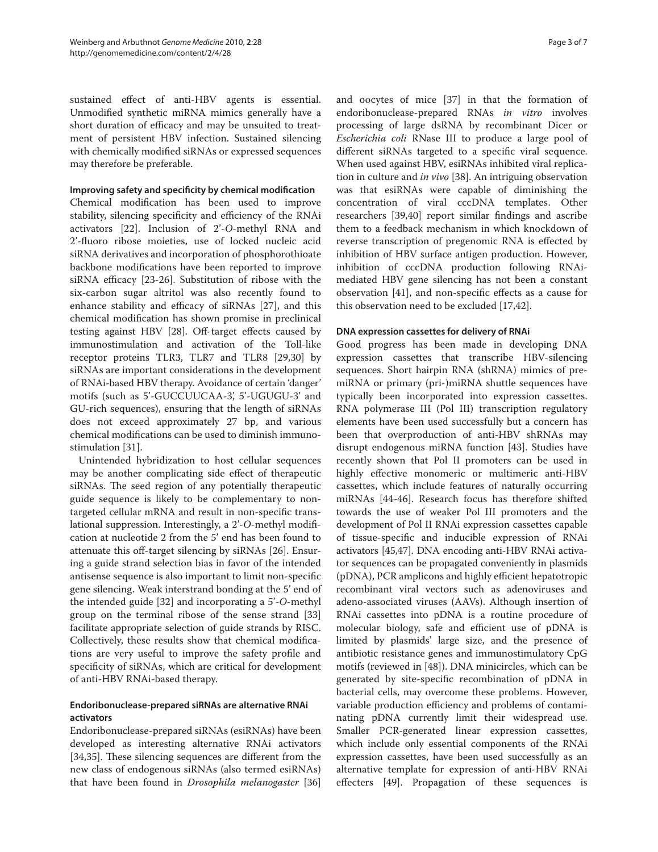sustained effect of anti-HBV agents is essential. Unmodified synthetic miRNA mimics generally have a short duration of efficacy and may be unsuited to treatment of persistent HBV infection. Sustained silencing with chemically modified siRNAs or expressed sequences may therefore be preferable.

#### **Improving safety and specificity by chemical modification**

Chemical modification has been used to improve stability, silencing specificity and efficiency of the RNAi activators [22]. Inclusion of 2'-*O*-methyl RNA and 2'-fluoro ribose moieties, use of locked nucleic acid siRNA derivatives and incorporation of phosphorothioate backbone modifications have been reported to improve siRNA efficacy [23-26]. Substitution of ribose with the six-carbon sugar altritol was also recently found to enhance stability and efficacy of siRNAs [27], and this chemical modification has shown promise in preclinical testing against HBV [28]. Off-target effects caused by immunostimulation and activation of the Toll-like receptor proteins TLR3, TLR7 and TLR8 [29,30] by siRNAs are important considerations in the development of RNAi-based HBV therapy. Avoidance of certain 'danger' motifs (such as 5'-GUCCUUCAA-3', 5'-UGUGU-3' and GU-rich sequences), ensuring that the length of siRNAs does not exceed approximately 27 bp, and various chemical modifications can be used to diminish immunostimulation [31].

Unintended hybridization to host cellular sequences may be another complicating side effect of therapeutic siRNAs. The seed region of any potentially therapeutic guide sequence is likely to be complementary to nontargeted cellular mRNA and result in non-specific translational suppression. Interestingly, a 2'-*O*-methyl modification at nucleotide 2 from the 5' end has been found to attenuate this off-target silencing by siRNAs [26]. Ensuring a guide strand selection bias in favor of the intended antisense sequence is also important to limit non-specific gene silencing. Weak interstrand bonding at the 5' end of the intended guide [32] and incorporating a 5'-*O*-methyl group on the terminal ribose of the sense strand [33] facilitate appropriate selection of guide strands by RISC. Collectively, these results show that chemical modifications are very useful to improve the safety profile and specificity of siRNAs, which are critical for development of anti-HBV RNAi-based therapy.

## **Endoribonuclease-prepared siRNAs are alternative RNAi activators**

Endoribonuclease-prepared siRNAs (esiRNAs) have been developed as interesting alternative RNAi activators [34,35]. These silencing sequences are different from the new class of endogenous siRNAs (also termed esiRNAs) that have been found in *Drosophila melanogaster* [36] and oocytes of mice [37] in that the formation of endoribonuclease-prepared RNAs *in vitro* involves processing of large dsRNA by recombinant Dicer or *Escherichia coli* RNase III to produce a large pool of different siRNAs targeted to a specific viral sequence. When used against HBV, esiRNAs inhibited viral replication in culture and *in vivo* [38]. An intriguing observation was that esiRNAs were capable of diminishing the concentration of viral cccDNA templates. Other researchers [39,40] report similar findings and ascribe them to a feedback mechanism in which knockdown of reverse transcription of pregenomic RNA is effected by inhibition of HBV surface antigen production. However, inhibition of cccDNA production following RNAimediated HBV gene silencing has not been a constant observation [41], and non-specific effects as a cause for this observation need to be excluded [17,42].

#### **DNA expression cassettes for delivery of RNAi**

Good progress has been made in developing DNA expression cassettes that transcribe HBV-silencing sequences. Short hairpin RNA (shRNA) mimics of premiRNA or primary (pri-)miRNA shuttle sequences have typically been incorporated into expression cassettes. RNA polymerase III (Pol III) transcription regulatory elements have been used successfully but a concern has been that overproduction of anti-HBV shRNAs may disrupt endogenous miRNA function [43]. Studies have recently shown that Pol II promoters can be used in highly effective monomeric or multimeric anti-HBV cassettes, which include features of naturally occurring miRNAs [44-46]. Research focus has therefore shifted towards the use of weaker Pol III promoters and the development of Pol II RNAi expression cassettes capable of tissue-specific and inducible expression of RNAi activators [45,47]. DNA encoding anti-HBV RNAi activator sequences can be propagated conveniently in plasmids (pDNA), PCR amplicons and highly efficient hepatotropic recombinant viral vectors such as adenoviruses and adeno-associated viruses (AAVs). Although insertion of RNAi cassettes into pDNA is a routine procedure of molecular biology, safe and efficient use of pDNA is limited by plasmids' large size, and the presence of antibiotic resistance genes and immunostimulatory CpG motifs (reviewed in [48]). DNA minicircles, which can be generated by site-specific recombination of pDNA in bacterial cells, may overcome these problems. However, variable production efficiency and problems of contaminating pDNA currently limit their widespread use. Smaller PCR-generated linear expression cassettes, which include only essential components of the RNAi expression cassettes, have been used successfully as an alternative template for expression of anti-HBV RNAi effecters [49]. Propagation of these sequences is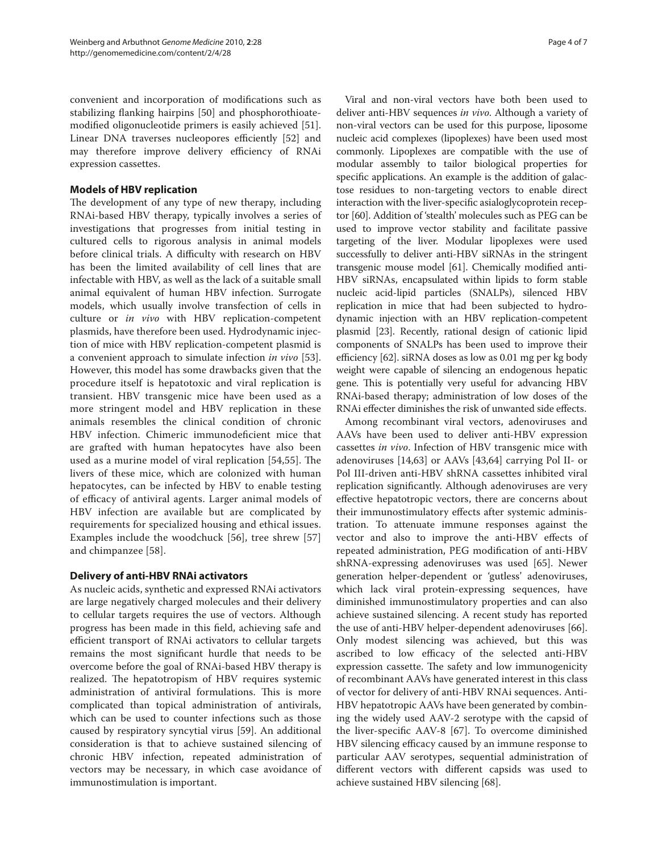convenient and incorporation of modifications such as stabilizing flanking hairpins [50] and phosphorothioatemodified oligonucleotide primers is easily achieved [51]. Linear DNA traverses nucleopores efficiently [52] and may therefore improve delivery efficiency of RNAi expression cassettes.

## **Models of HBV replication**

The development of any type of new therapy, including RNAi-based HBV therapy, typically involves a series of investigations that progresses from initial testing in cultured cells to rigorous analysis in animal models before clinical trials. A difficulty with research on HBV has been the limited availability of cell lines that are infectable with HBV, as well as the lack of a suitable small animal equivalent of human HBV infection. Surrogate models, which usually involve transfection of cells in culture or *in vivo* with HBV replication-competent plasmids, have therefore been used. Hydrodynamic injection of mice with HBV replication-competent plasmid is a convenient approach to simulate infection *in vivo* [53]. However, this model has some drawbacks given that the procedure itself is hepatotoxic and viral replication is transient. HBV transgenic mice have been used as a more stringent model and HBV replication in these animals resembles the clinical condition of chronic HBV infection. Chimeric immunodeficient mice that are grafted with human hepatocytes have also been used as a murine model of viral replication [54,55]. The livers of these mice, which are colonized with human hepatocytes, can be infected by HBV to enable testing of efficacy of antiviral agents. Larger animal models of HBV infection are available but are complicated by requirements for specialized housing and ethical issues. Examples include the woodchuck [56], tree shrew [57] and chimpanzee [58].

### **Delivery of anti-HBV RNAi activators**

As nucleic acids, synthetic and expressed RNAi activators are large negatively charged molecules and their delivery to cellular targets requires the use of vectors. Although progress has been made in this field, achieving safe and efficient transport of RNAi activators to cellular targets remains the most significant hurdle that needs to be overcome before the goal of RNAi-based HBV therapy is realized. The hepatotropism of HBV requires systemic administration of antiviral formulations. This is more complicated than topical administration of antivirals, which can be used to counter infections such as those caused by respiratory syncytial virus [59]. An additional consideration is that to achieve sustained silencing of chronic HBV infection, repeated administration of vectors may be necessary, in which case avoidance of immunostimulation is important.

Viral and non-viral vectors have both been used to deliver anti-HBV sequences *in vivo*. Although a variety of non-viral vectors can be used for this purpose, liposome nucleic acid complexes (lipoplexes) have been used most commonly. Lipoplexes are compatible with the use of modular assembly to tailor biological properties for specific applications. An example is the addition of galactose residues to non-targeting vectors to enable direct interaction with the liver-specific asialoglycoprotein receptor [60]. Addition of 'stealth' molecules such as PEG can be used to improve vector stability and facilitate passive targeting of the liver. Modular lipoplexes were used successfully to deliver anti-HBV siRNAs in the stringent transgenic mouse model [61]. Chemically modified anti-HBV siRNAs, encapsulated within lipids to form stable nucleic acid-lipid particles (SNALPs), silenced HBV replication in mice that had been subjected to hydrodynamic injection with an HBV replication-competent plasmid [23]. Recently, rational design of cationic lipid components of SNALPs has been used to improve their efficiency [62]. siRNA doses as low as 0.01 mg per kg body weight were capable of silencing an endogenous hepatic gene. This is potentially very useful for advancing HBV RNAi-based therapy; administration of low doses of the RNAi effecter diminishes the risk of unwanted side effects.

Among recombinant viral vectors, adenoviruses and AAVs have been used to deliver anti-HBV expression cassettes *in vivo*. Infection of HBV transgenic mice with adenoviruses [14,63] or AAVs [43,64] carrying Pol II- or Pol III-driven anti-HBV shRNA cassettes inhibited viral replication significantly. Although adenoviruses are very effective hepatotropic vectors, there are concerns about their immunostimulatory effects after systemic administration. To attenuate immune responses against the vector and also to improve the anti-HBV effects of repeated administration, PEG modification of anti-HBV shRNA-expressing adenoviruses was used [65]. Newer generation helper-dependent or 'gutless' adenoviruses, which lack viral protein-expressing sequences, have diminished immunostimulatory properties and can also achieve sustained silencing. A recent study has reported the use of anti-HBV helper-dependent adenoviruses [66]. Only modest silencing was achieved, but this was ascribed to low efficacy of the selected anti-HBV expression cassette. The safety and low immunogenicity of recombinant AAVs have generated interest in this class of vector for delivery of anti-HBV RNAi sequences. Anti-HBV hepatotropic AAVs have been generated by combining the widely used AAV-2 serotype with the capsid of the liver-specific AAV-8 [67]. To overcome diminished HBV silencing efficacy caused by an immune response to particular AAV serotypes, sequential administration of different vectors with different capsids was used to achieve sustained HBV silencing [68].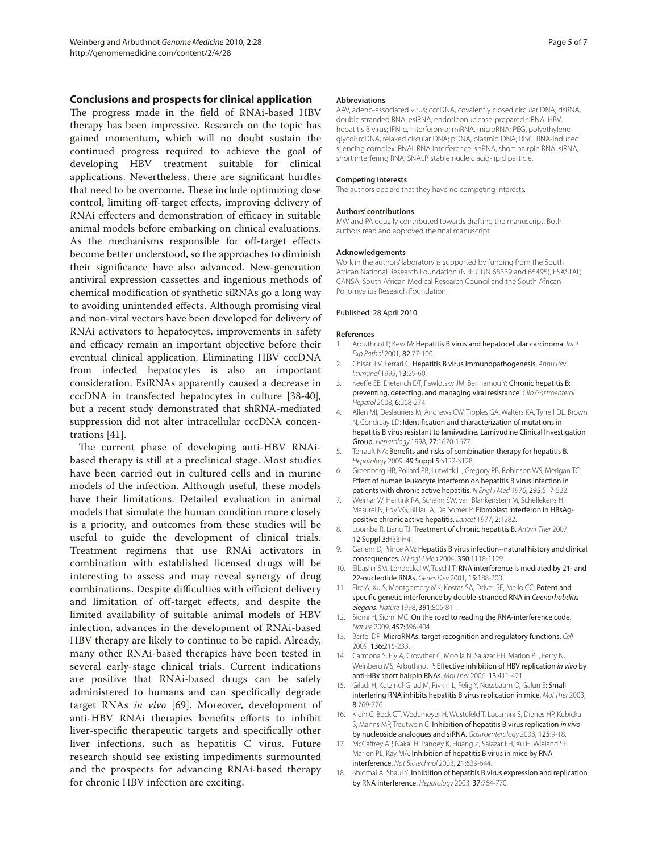#### **Conclusions and prospects for clinical application**

The progress made in the field of RNAi-based HBV therapy has been impressive. Research on the topic has gained momentum, which will no doubt sustain the continued progress required to achieve the goal of developing HBV treatment suitable for clinical applications. Nevertheless, there are significant hurdles that need to be overcome. These include optimizing dose control, limiting off-target effects, improving delivery of RNAi effecters and demonstration of efficacy in suitable animal models before embarking on clinical evaluations. As the mechanisms responsible for off-target effects become better understood, so the approaches to diminish their significance have also advanced. New-generation antiviral expression cassettes and ingenious methods of chemical modification of synthetic siRNAs go a long way to avoiding unintended effects. Although promising viral and non-viral vectors have been developed for delivery of RNAi activators to hepatocytes, improvements in safety and efficacy remain an important objective before their eventual clinical application. Eliminating HBV cccDNA from infected hepatocytes is also an important consideration. EsiRNAs apparently caused a decrease in cccDNA in transfected hepatocytes in culture [38-40], but a recent study demonstrated that shRNA-mediated suppression did not alter intracellular cccDNA concentrations [41].

The current phase of developing anti-HBV RNAibased therapy is still at a preclinical stage. Most studies have been carried out in cultured cells and in murine models of the infection. Although useful, these models have their limitations. Detailed evaluation in animal models that simulate the human condition more closely is a priority, and outcomes from these studies will be useful to guide the development of clinical trials. Treatment regimens that use RNAi activators in combination with established licensed drugs will be interesting to assess and may reveal synergy of drug combinations. Despite difficulties with efficient delivery and limitation of off-target effects, and despite the limited availability of suitable animal models of HBV infection, advances in the development of RNAi-based HBV therapy are likely to continue to be rapid. Already, many other RNAi-based therapies have been tested in several early-stage clinical trials. Current indications are positive that RNAi-based drugs can be safely administered to humans and can specifically degrade target RNAs *in vivo* [69]. Moreover, development of anti-HBV RNAi therapies benefits efforts to inhibit liver-specific therapeutic targets and specifically other liver infections, such as hepatitis C virus. Future research should see existing impediments surmounted and the prospects for advancing RNAi-based therapy for chronic HBV infection are exciting.

#### **Abbreviations**

AAV, adeno-associated virus; cccDNA, covalently closed circular DNA; dsRNA, double stranded RNA; esiRNA, endoribonuclease-prepared siRNA; HBV, hepatitis B virus; IFN-α, interferon-α; miRNA, microRNA; PEG, polyethylene glycol; rcDNA, relaxed circular DNA; pDNA, plasmid DNA; RISC, RNA-induced silencing complex; RNAi, RNA interference; shRNA, short hairpin RNA; siRNA, short interfering RNA; SNALP, stable nucleic acid-lipid particle.

#### **Competing interests**

The authors declare that they have no competing interests.

#### **Authors' contributions**

MW and PA equally contributed towards drafting the manuscript. Both authors read and approved the final manuscript.

#### **Acknowledgements**

Work in the authors' laboratory is supported by funding from the South African National Research Foundation (NRF GUN 68339 and 65495), ESASTAP, CANSA, South African Medical Research Council and the South African Poliomyelitis Research Foundation.

#### Published: 28 April 2010

#### **References**

- 1. Arbuthnot P, Kew M: Hepatitis B virus and hepatocellular carcinoma. *Int J Exp Pathol* 2001, 82:77-100.
- 2. Chisari FV, Ferrari C: Hepatitis B virus immunopathogenesis. *Annu Rev Immunol* 1995, 13:29-60.
- 3. Keeffe EB, Dieterich DT, Pawlotsky JM, Benhamou Y: Chronic hepatitis B: preventing, detecting, and managing viral resistance. *Clin Gastroenterol Hepatol* 2008, 6:268-274.
- 4. Allen MI, Deslauriers M, Andrews CW, Tipples GA, Walters KA, Tyrrell DL, Brown N, Condreay LD: Identification and characterization of mutations in hepatitis B virus resistant to lamivudine. Lamivudine Clinical Investigation Group. *Hepatology* 1998, 27:1670-1677.
- 5. Terrault NA: Benefits and risks of combination therapy for hepatitis B. *Hepatology* 2009, 49 Suppl 5:S122-S128.
- 6. Greenberg HB, Pollard RB, Lutwick LI, Gregory PB, Robinson WS, Merigan TC: Effect of human leukocyte interferon on hepatitis B virus infection in patients with chronic active hepatitis. *N Engl J Med* 1976, 295:517-522.
- 7. Weimar W, Heijtink RA, Schalm SW, van Blankenstein M, Schellekens H, Masurel N, Edy VG, Billiau A, De Somer P: Fibroblast interferon in HBsAgpositive chronic active hepatitis. *Lancet* 1977, 2:1282.
- 8. Loomba R, Liang TJ: Treatment of chronic hepatitis B. *Antivir Ther* 2007, 12 Suppl 3:H33-H41.
- 9. Ganem D, Prince AM: Hepatitis B virus infection--natural history and clinical consequences. *N Engl J Med* 2004, 350:1118-1129.
- 10. Elbashir SM, Lendeckel W, Tuschl T: RNA interference is mediated by 21- and 22-nucleotide RNAs. *Genes Dev* 2001, 15:188-200.
- 11. Fire A, Xu S, Montgomery MK, Kostas SA, Driver SE, Mello CC: Potent and specific genetic interference by double-stranded RNA in *Caenorhabditis elegans*. *Nature* 1998, 391:806-811.
- 12. Siomi H, Siomi MC: On the road to reading the RNA-interference code. *Nature* 2009, 457:396-404.
- 13. Bartel DP: MicroRNAs: target recognition and regulatory functions. *Cell*  2009, 136:215-233.
- 14. Carmona S, Ely A, Crowther C, Moolla N, Salazar FH, Marion PL, Ferry N, Weinberg MS, Arbuthnot P: Effective inhibition of HBV replication *in vivo* by anti-HBx short hairpin RNAs. *Mol Ther* 2006, 13:411-421.
- 15. Giladi H, Ketzinel-Gilad M, Rivkin L, Felig Y, Nussbaum O, Galun E: Small interfering RNA inhibits hepatitis B virus replication in mice. *Mol Ther* 2003, 8:769-776.
- 16. Klein C, Bock CT, Wedemeyer H, Wustefeld T, Locarnini S, Dienes HP, Kubicka S, Manns MP, Trautwein C: Inhibition of hepatitis B virus replication *in vivo* by nucleoside analogues and siRNA. *Gastroenterology* 2003, 125:9-18.
- 17. McCaffrey AP, Nakai H, Pandey K, Huang Z, Salazar FH, Xu H, Wieland SF, Marion PL, Kay MA: Inhibition of hepatitis B virus in mice by RNA interference. *Nat Biotechnol* 2003, 21:639-644.
- 18. Shlomai A, Shaul Y: Inhibition of hepatitis B virus expression and replication by RNA interference. *Hepatology* 2003, 37:764-770.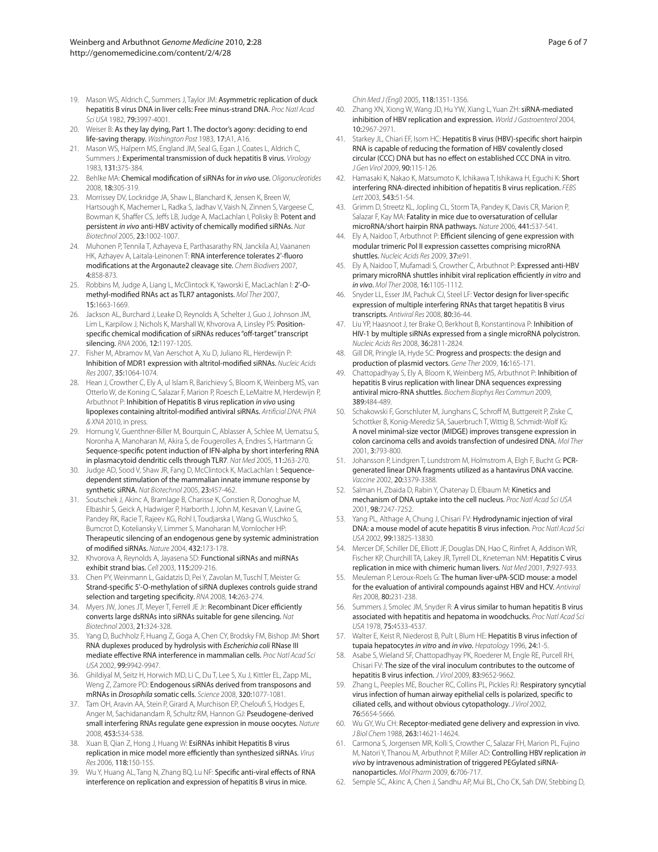- 19. Mason WS, Aldrich C, Summers J, Taylor JM: Asymmetric replication of duck hepatitis B virus DNA in liver cells: Free minus-strand DNA. *Proc Natl Acad Sci USA* 1982, 79:3997-4001.
- 20. Weiser B: As they lay dying, Part 1. The doctor's agony: deciding to end life-saving therapy. *Washington Post* 1983, 17:A1, A16.
- 21. Mason WS, Halpern MS, England JM, Seal G, Egan J, Coates L, Aldrich C, Summers J: Experimental transmission of duck hepatitis B virus. *Virology*  1983, 131:375-384.
- 22. Behlke MA: Chemical modification of siRNAs for *in vivo* use. *Oligonucleotides*  2008, 18:305-319.
- 23. Morrissey DV, Lockridge JA, Shaw L, Blanchard K, Jensen K, Breen W, Hartsough K, Machemer L, Radka S, Jadhav V, Vaish N, Zinnen S, Vargeese C, Bowman K, Shaffer CS, Jeffs LB, Judge A, MacLachlan I, Polisky B: Potent and persistent *in vivo* anti-HBV activity of chemically modified siRNAs. *Nat Biotechnol* 2005, 23:1002-1007.
- 24. Muhonen P, Tennila T, Azhayeva E, Parthasarathy RN, Janckila AJ, Vaananen HK, Azhayev A, Laitala-Leinonen T: RNA interference tolerates 2'-fluoro modifications at the Argonaute2 cleavage site. *Chem Biodivers* 2007, 4:858-873.
- 25. Robbins M, Judge A, Liang L, McClintock K, Yaworski E, MacLachlan I: 2'-Omethyl-modified RNAs act as TLR7 antagonists. *Mol Ther* 2007, 15:1663-1669.
- 26. Jackson AL, Burchard J, Leake D, Reynolds A, Schelter J, Guo J, Johnson JM, Lim L, Karpilow J, Nichols K, Marshall W, Khvorova A, Linsley PS: Positionspecific chemical modification of siRNAs reduces "off-target" transcript silencing. *RNA* 2006, 12:1197-1205.
- 27. Fisher M, Abramov M, Van Aerschot A, Xu D, Juliano RL, Herdewijn P: Inhibition of MDR1 expression with altritol-modified siRNAs. *Nucleic Acids Res* 2007, 35:1064-1074.
- 28. Hean J, Crowther C, Ely A, ul Islam R, Barichievy S, Bloom K, Weinberg MS, van Otterlo W, de Koning C, Salazar F, Marion P, Roesch E, LeMaitre M, Herdewijn P, Arbuthnot P: Inhibition of Hepatitis B virus replication *in vivo* using lipoplexes containing altritol-modified antiviral siRNAs. *Artificial DNA: PNA & XNA* 2010, in press.
- 29. Hornung V, Guenthner-Biller M, Bourquin C, Ablasser A, Schlee M, Uematsu S, Noronha A, Manoharan M, Akira S, de Fougerolles A, Endres S, Hartmann G: Sequence-specific potent induction of IFN-alpha by short interfering RNA in plasmacytoid dendritic cells through TLR7. *Nat Med* 2005, 11:263-270.
- 30. Judge AD, Sood V, Shaw JR, Fang D, McClintock K, MacLachlan I: Sequencedependent stimulation of the mammalian innate immune response by synthetic siRNA. *Nat Biotechnol* 2005, 23:457-462.
- 31. Soutschek J, Akinc A, Bramlage B, Charisse K, Constien R, Donoghue M, Elbashir S, Geick A, Hadwiger P, Harborth J, John M, Kesavan V, Lavine G, Pandey RK, Racie T, Rajeev KG, Rohl I, Toudjarska I, Wang G, Wuschko S, Bumcrot D, Koteliansky V, Limmer S, Manoharan M, Vornlocher HP: Therapeutic silencing of an endogenous gene by systemic administration of modified siRNAs. *Nature* 2004, 432:173-178.
- 32. Khvorova A, Reynolds A, Jayasena SD: Functional siRNAs and miRNAs exhibit strand bias. *Cell* 2003, 115:209-216.
- 33. Chen PY, Weinmann L, Gaidatzis D, Pei Y, Zavolan M, Tuschl T, Meister G: Strand-specific 5'-O-methylation of siRNA duplexes controls guide strand selection and targeting specificity. *RNA* 2008, 14:263-274.
- 34. Myers JW, Jones JT, Meyer T, Ferrell JE Jr: Recombinant Dicer efficiently converts large dsRNAs into siRNAs suitable for gene silencing. *Nat Biotechnol* 2003, 21:324-328.
- 35. Yang D, Buchholz F, Huang Z, Goga A, Chen CY, Brodsky FM, Bishop JM: Short RNA duplexes produced by hydrolysis with *Escherichia coli* RNase III mediate effective RNA interference in mammalian cells. *Proc Natl Acad Sci USA* 2002, 99:9942-9947.
- 36. Ghildiyal M, Seitz H, Horwich MD, Li C, Du T, Lee S, Xu J, Kittler EL, Zapp ML, Weng Z, Zamore PD: Endogenous siRNAs derived from transposons and mRNAs in *Drosophila* somatic cells. *Science* 2008, 320:1077-1081.
- 37. Tam OH, Aravin AA, Stein P, Girard A, Murchison EP, Cheloufi S, Hodges E, Anger M, Sachidanandam R, Schultz RM, Hannon GJ: Pseudogene-derived small interfering RNAs regulate gene expression in mouse oocytes. *Nature*  2008, 453:534-538.
- 38. Xuan B, Qian Z, Hong J, Huang W: EsiRNAs inhibit Hepatitis B virus replication in mice model more efficiently than synthesized siRNAs. *Virus Res* 2006, 118:150-155.
- 39. Wu Y, Huang AL, Tang N, Zhang BQ, Lu NF: Specific anti-viral effects of RNA interference on replication and expression of hepatitis B virus in mice.

*Chin Med J (Engl)* 2005, 118:1351-1356.

- 40. Zhang XN, Xiong W, Wang JD, Hu YW, Xiang L, Yuan ZH: siRNA-mediated inhibition of HBV replication and expression. *World J Gastroenterol* 2004, 10:2967-2971.
- 41. Starkey JL, Chiari EF, Isom HC: Hepatitis B virus (HBV)-specific short hairpin RNA is capable of reducing the formation of HBV covalently closed circular (CCC) DNA but has no effect on established CCC DNA in vitro. *J Gen Virol* 2009, 90:115-126.
- 42. Hamasaki K, Nakao K, Matsumoto K, Ichikawa T, Ishikawa H, Equchi K: Short interfering RNA-directed inhibition of hepatitis B virus replication. *FEBS Lett* 2003, 543:51-54.
- 43. Grimm D, Streetz KL, Jopling CL, Storm TA, Pandey K, Davis CR, Marion P, Salazar F, Kay MA: Fatality in mice due to oversaturation of cellular microRNA/short hairpin RNA pathways. *Nature* 2006, 441:537-541.
- Ely A, Naidoo T, Arbuthnot P: Efficient silencing of gene expression with modular trimeric Pol II expression cassettes comprising microRNA shuttles. *Nucleic Acids Res* 2009, 37:e91.
- 45. Ely A, Naidoo T, Mufamadi S, Crowther C, Arbuthnot P: Expressed anti-HBV primary microRNA shuttles inhibit viral replication efficiently *in vitro* and *in vivo*. *Mol Ther* 2008, 16:1105-1112.
- 46. Snyder LL, Esser JM, Pachuk CJ, Steel LF: Vector design for liver-specific expression of multiple interfering RNAs that target hepatitis B virus transcripts. *Antiviral Res* 2008, 80:36-44.
- 47. Liu YP, Haasnoot J, ter Brake O, Berkhout B, Konstantinova P: Inhibition of HIV-1 by multiple siRNAs expressed from a single microRNA polycistron. *Nucleic Acids Res* 2008, 36:2811-2824.
- 48. Gill DR, Pringle IA, Hyde SC: Progress and prospects: the design and production of plasmid vectors. *Gene Ther* 2009, 16:165-171.
- 49. Chattopadhyay S, Ely A, Bloom K, Weinberg MS, Arbuthnot P: Inhibition of hepatitis B virus replication with linear DNA sequences expressing antiviral micro-RNA shuttles. *Biochem Biophys Res Commun* 2009, 389:484-489.
- 50. Schakowski F, Gorschluter M, Junghans C, Schroff M, Buttgereit P, Ziske C, Schottker B, Konig-Merediz SA, Sauerbruch T, Wittig B, Schmidt-Wolf IG: A novel minimal-size vector (MIDGE) improves transgene expression in colon carcinoma cells and avoids transfection of undesired DNA. *Mol Ther*  2001, 3:793-800.
- 51. Johansson P, Lindgren T, Lundstrom M, Holmstrom A, Elgh F, Bucht G: PCRgenerated linear DNA fragments utilized as a hantavirus DNA vaccine. *Vaccine* 2002, 20:3379-3388.
- 52. Salman H, Zbaida D, Rabin Y, Chatenay D, Elbaum M: Kinetics and mechanism of DNA uptake into the cell nucleus. *Proc Natl Acad Sci USA*  2001, 98:7247-7252.
- 53. Yang PL, Althage A, Chung J, Chisari FV: Hydrodynamic injection of viral DNA: a mouse model of acute hepatitis B virus infection. *Proc Natl Acad Sci USA* 2002, 99:13825-13830.
- 54. Mercer DF, Schiller DE, Elliott JF, Douglas DN, Hao C, Rinfret A, Addison WR, Fischer KP, Churchill TA, Lakey JR, Tyrrell DL, Kneteman NM: Hepatitis C virus replication in mice with chimeric human livers. *Nat Med* 2001, 7:927-933.
- Meuleman P, Leroux-Roels G: The human liver-uPA-SCID mouse: a model for the evaluation of antiviral compounds against HBV and HCV. *Antiviral Res* 2008, 80:231-238.
- 56. Summers J, Smolec JM, Snyder R: A virus similar to human hepatitis B virus associated with hepatitis and hepatoma in woodchucks. *Proc Natl Acad Sci USA* 1978, 75:4533-4537.
- 57. Walter E, Keist R, Niederost B, Pult I, Blum HE: Hepatitis B virus infection of tupaia hepatocytes *in vitro* and *in vivo*. *Hepatology* 1996, 24:1-5.
- 58. Asabe S, Wieland SF, Chattopadhyay PK, Roederer M, Engle RE, Purcell RH, Chisari FV: The size of the viral inoculum contributes to the outcome of hepatitis B virus infection. *J Virol* 2009, 83:9652-9662.
- 59. Zhang L, Peeples ME, Boucher RC, Collins PL, Pickles RJ: Respiratory syncytial virus infection of human airway epithelial cells is polarized, specific to ciliated cells, and without obvious cytopathology. *J Virol* 2002, 76:5654-5666.
- 60. Wu GY, Wu CH: Receptor-mediated gene delivery and expression in vivo. *J Biol Chem* 1988, 263:14621-14624.
- 61. Carmona S, Jorgensen MR, Kolli S, Crowther C, Salazar FH, Marion PL, Fujino M, Natori Y, Thanou M, Arbuthnot P, Miller AD: Controlling HBV replication *in vivo* by intravenous administration of triggered PEGylated siRNAnanoparticles. *Mol Pharm* 2009, 6:706-717.
- 62. Semple SC, Akinc A, Chen J, Sandhu AP, Mui BL, Cho CK, Sah DW, Stebbing D,